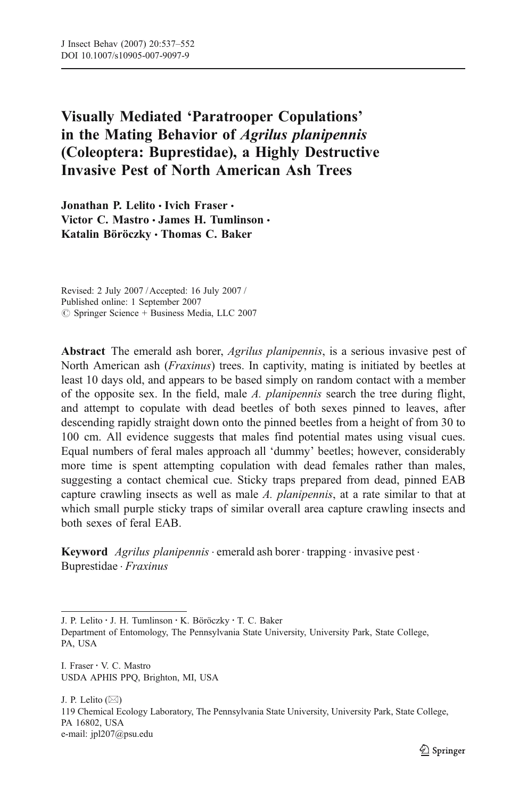# Visually Mediated 'Paratrooper Copulations' in the Mating Behavior of Agrilus planipennis (Coleoptera: Buprestidae), a Highly Destructive Invasive Pest of North American Ash Trees

Jonathan P. Lelito . Ivich Fraser . Victor C. Mastro  $\cdot$  James H. Tumlinson  $\cdot$ Katalin Böröczky & Thomas C. Baker

Revised: 2 July 2007 / Accepted: 16 July 2007 / Published online: 1 September 2007  $\circledcirc$  Springer Science + Business Media, LLC 2007

Abstract The emerald ash borer, *Agrilus planipennis*, is a serious invasive pest of North American ash (*Fraxinus*) trees. In captivity, mating is initiated by beetles at least 10 days old, and appears to be based simply on random contact with a member of the opposite sex. In the field, male A. planipennis search the tree during flight, and attempt to copulate with dead beetles of both sexes pinned to leaves, after descending rapidly straight down onto the pinned beetles from a height of from 30 to 100 cm. All evidence suggests that males find potential mates using visual cues. Equal numbers of feral males approach all 'dummy' beetles; however, considerably more time is spent attempting copulation with dead females rather than males, suggesting a contact chemical cue. Sticky traps prepared from dead, pinned EAB capture crawling insects as well as male A. planipennis, at a rate similar to that at which small purple sticky traps of similar overall area capture crawling insects and both sexes of feral EAB.

Keyword Agrilus planipennis  $\cdot$  emerald ash borer $\cdot$  trapping  $\cdot$  invasive pest  $\cdot$ Buprestidae . Fraxinus

J. P. Lelito  $(\boxtimes)$ 119 Chemical Ecology Laboratory, The Pennsylvania State University, University Park, State College, PA 16802, USA e-mail: jpl207@psu.edu

J. P. Lelito : J. H. Tumlinson : K. Böröczky : T. C. Baker

Department of Entomology, The Pennsylvania State University, University Park, State College, PA, USA

I. Fraser : V. C. Mastro USDA APHIS PPQ, Brighton, MI, USA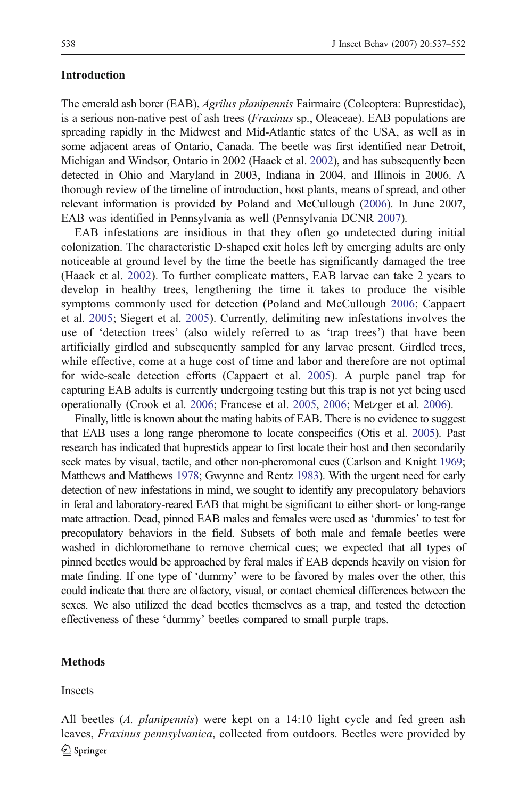#### Introduction

The emerald ash borer (EAB), Agrilus planipennis Fairmaire (Coleoptera: Buprestidae), is a serious non-native pest of ash trees (*Fraxinus* sp., Oleaceae). EAB populations are spreading rapidly in the Midwest and Mid-Atlantic states of the USA, as well as in some adjacent areas of Ontario, Canada. The beetle was first identified near Detroit, Michigan and Windsor, Ontario in 2002 (Haack et al. [2002\)](#page-14-0), and has subsequently been detected in Ohio and Maryland in 2003, Indiana in 2004, and Illinois in 2006. A thorough review of the timeline of introduction, host plants, means of spread, and other relevant information is provided by Poland and McCullough [\(2006\)](#page-15-0). In June 2007, EAB was identified in Pennsylvania as well (Pennsylvania DCNR [2007](#page-15-0)).

EAB infestations are insidious in that they often go undetected during initial colonization. The characteristic D-shaped exit holes left by emerging adults are only noticeable at ground level by the time the beetle has significantly damaged the tree (Haack et al. [2002](#page-14-0)). To further complicate matters, EAB larvae can take 2 years to develop in healthy trees, lengthening the time it takes to produce the visible symptoms commonly used for detection (Poland and McCullough [2006](#page-15-0); Cappaert et al. [2005](#page-14-0); Siegert et al. [2005\)](#page-15-0). Currently, delimiting new infestations involves the use of 'detection trees' (also widely referred to as 'trap trees') that have been artificially girdled and subsequently sampled for any larvae present. Girdled trees, while effective, come at a huge cost of time and labor and therefore are not optimal for wide-scale detection efforts (Cappaert et al. [2005](#page-14-0)). A purple panel trap for capturing EAB adults is currently undergoing testing but this trap is not yet being used operationally (Crook et al. [2006](#page-14-0); Francese et al. [2005,](#page-14-0) [2006](#page-14-0); Metzger et al. [2006\)](#page-15-0).

Finally, little is known about the mating habits of EAB. There is no evidence to suggest that EAB uses a long range pheromone to locate conspecifics (Otis et al. [2005\)](#page-15-0). Past research has indicated that buprestids appear to first locate their host and then secondarily seek mates by visual, tactile, and other non-pheromonal cues (Carlson and Knight [1969;](#page-14-0) Matthews and Matthews [1978;](#page-15-0) Gwynne and Rentz [1983](#page-14-0)). With the urgent need for early detection of new infestations in mind, we sought to identify any precopulatory behaviors in feral and laboratory-reared EAB that might be significant to either short- or long-range mate attraction. Dead, pinned EAB males and females were used as 'dummies' to test for precopulatory behaviors in the field. Subsets of both male and female beetles were washed in dichloromethane to remove chemical cues; we expected that all types of pinned beetles would be approached by feral males if EAB depends heavily on vision for mate finding. If one type of 'dummy' were to be favored by males over the other, this could indicate that there are olfactory, visual, or contact chemical differences between the sexes. We also utilized the dead beetles themselves as a trap, and tested the detection effectiveness of these 'dummy' beetles compared to small purple traps.

#### Methods

Insects

All beetles (*A. planipennis*) were kept on a 14:10 light cycle and fed green ash leaves, Fraxinus pennsylvanica, collected from outdoors. Beetles were provided by  $\textcircled{2}$  Springer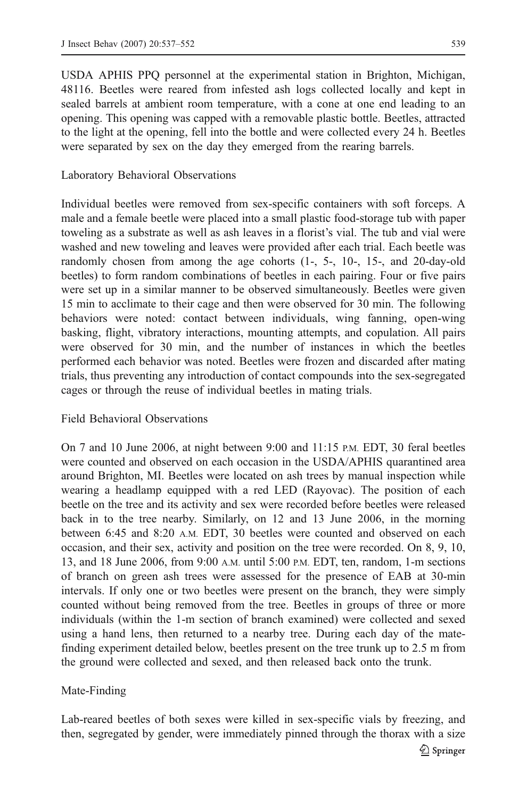USDA APHIS PPQ personnel at the experimental station in Brighton, Michigan, 48116. Beetles were reared from infested ash logs collected locally and kept in sealed barrels at ambient room temperature, with a cone at one end leading to an opening. This opening was capped with a removable plastic bottle. Beetles, attracted to the light at the opening, fell into the bottle and were collected every 24 h. Beetles were separated by sex on the day they emerged from the rearing barrels.

## Laboratory Behavioral Observations

Individual beetles were removed from sex-specific containers with soft forceps. A male and a female beetle were placed into a small plastic food-storage tub with paper toweling as a substrate as well as ash leaves in a florist's vial. The tub and vial were washed and new toweling and leaves were provided after each trial. Each beetle was randomly chosen from among the age cohorts (1-, 5-, 10-, 15-, and 20-day-old beetles) to form random combinations of beetles in each pairing. Four or five pairs were set up in a similar manner to be observed simultaneously. Beetles were given 15 min to acclimate to their cage and then were observed for 30 min. The following behaviors were noted: contact between individuals, wing fanning, open-wing basking, flight, vibratory interactions, mounting attempts, and copulation. All pairs were observed for 30 min, and the number of instances in which the beetles performed each behavior was noted. Beetles were frozen and discarded after mating trials, thus preventing any introduction of contact compounds into the sex-segregated cages or through the reuse of individual beetles in mating trials.

## Field Behavioral Observations

On 7 and 10 June 2006, at night between 9:00 and 11:15 P.M. EDT, 30 feral beetles were counted and observed on each occasion in the USDA/APHIS quarantined area around Brighton, MI. Beetles were located on ash trees by manual inspection while wearing a headlamp equipped with a red LED (Rayovac). The position of each beetle on the tree and its activity and sex were recorded before beetles were released back in to the tree nearby. Similarly, on 12 and 13 June 2006, in the morning between 6:45 and 8:20 A.M. EDT, 30 beetles were counted and observed on each occasion, and their sex, activity and position on the tree were recorded. On 8, 9, 10, 13, and 18 June 2006, from 9:00 A.M. until 5:00 P.M. EDT, ten, random, 1-m sections of branch on green ash trees were assessed for the presence of EAB at 30-min intervals. If only one or two beetles were present on the branch, they were simply counted without being removed from the tree. Beetles in groups of three or more individuals (within the 1-m section of branch examined) were collected and sexed using a hand lens, then returned to a nearby tree. During each day of the matefinding experiment detailed below, beetles present on the tree trunk up to 2.5 m from the ground were collected and sexed, and then released back onto the trunk.

# Mate-Finding

Lab-reared beetles of both sexes were killed in sex-specific vials by freezing, and then, segregated by gender, were immediately pinned through the thorax with a size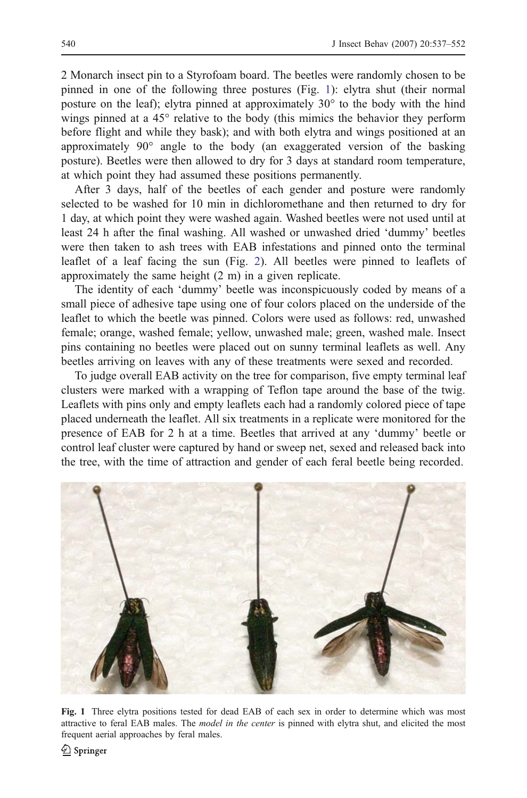2 Monarch insect pin to a Styrofoam board. The beetles were randomly chosen to be pinned in one of the following three postures (Fig. 1): elytra shut (their normal posture on the leaf); elytra pinned at approximately 30° to the body with the hind wings pinned at a 45° relative to the body (this mimics the behavior they perform before flight and while they bask); and with both elytra and wings positioned at an approximately 90° angle to the body (an exaggerated version of the basking posture). Beetles were then allowed to dry for 3 days at standard room temperature, at which point they had assumed these positions permanently.

After 3 days, half of the beetles of each gender and posture were randomly selected to be washed for 10 min in dichloromethane and then returned to dry for 1 day, at which point they were washed again. Washed beetles were not used until at least 24 h after the final washing. All washed or unwashed dried 'dummy' beetles were then taken to ash trees with EAB infestations and pinned onto the terminal leaflet of a leaf facing the sun (Fig. [2](#page-4-0)). All beetles were pinned to leaflets of approximately the same height (2 m) in a given replicate.

The identity of each 'dummy' beetle was inconspicuously coded by means of a small piece of adhesive tape using one of four colors placed on the underside of the leaflet to which the beetle was pinned. Colors were used as follows: red, unwashed female; orange, washed female; yellow, unwashed male; green, washed male. Insect pins containing no beetles were placed out on sunny terminal leaflets as well. Any beetles arriving on leaves with any of these treatments were sexed and recorded.

To judge overall EAB activity on the tree for comparison, five empty terminal leaf clusters were marked with a wrapping of Teflon tape around the base of the twig. Leaflets with pins only and empty leaflets each had a randomly colored piece of tape placed underneath the leaflet. All six treatments in a replicate were monitored for the presence of EAB for 2 h at a time. Beetles that arrived at any 'dummy' beetle or control leaf cluster were captured by hand or sweep net, sexed and released back into the tree, with the time of attraction and gender of each feral beetle being recorded.



Fig. 1 Three elytra positions tested for dead EAB of each sex in order to determine which was most attractive to feral EAB males. The *model in the center* is pinned with elytra shut, and elicited the most frequent aerial approaches by feral males.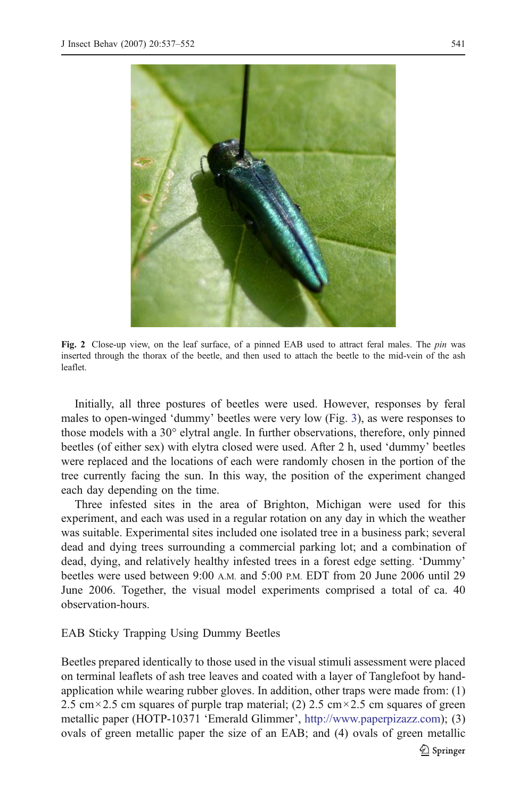<span id="page-4-0"></span>

Fig. 2 Close-up view, on the leaf surface, of a pinned EAB used to attract feral males. The *pin* was inserted through the thorax of the beetle, and then used to attach the beetle to the mid-vein of the ash leaflet.

Initially, all three postures of beetles were used. However, responses by feral males to open-winged 'dummy' beetles were very low (Fig. [3](#page-5-0)), as were responses to those models with a 30° elytral angle. In further observations, therefore, only pinned beetles (of either sex) with elytra closed were used. After 2 h, used 'dummy' beetles were replaced and the locations of each were randomly chosen in the portion of the tree currently facing the sun. In this way, the position of the experiment changed each day depending on the time.

Three infested sites in the area of Brighton, Michigan were used for this experiment, and each was used in a regular rotation on any day in which the weather was suitable. Experimental sites included one isolated tree in a business park; several dead and dying trees surrounding a commercial parking lot; and a combination of dead, dying, and relatively healthy infested trees in a forest edge setting. 'Dummy' beetles were used between 9:00 A.M. and 5:00 P.M. EDT from 20 June 2006 until 29 June 2006. Together, the visual model experiments comprised a total of ca. 40 observation-hours.

EAB Sticky Trapping Using Dummy Beetles

Beetles prepared identically to those used in the visual stimuli assessment were placed on terminal leaflets of ash tree leaves and coated with a layer of Tanglefoot by handapplication while wearing rubber gloves. In addition, other traps were made from: (1) 2.5 cm × 2.5 cm squares of purple trap material; (2) 2.5 cm  $\times$  2.5 cm squares of green metallic paper (HOTP-10371 'Emerald Glimmer', [http://www.paperpizazz.com\)](http://www.paperpizazz.com); (3) ovals of green metallic paper the size of an EAB; and (4) ovals of green metallic  $\mathcal{D}$  Springer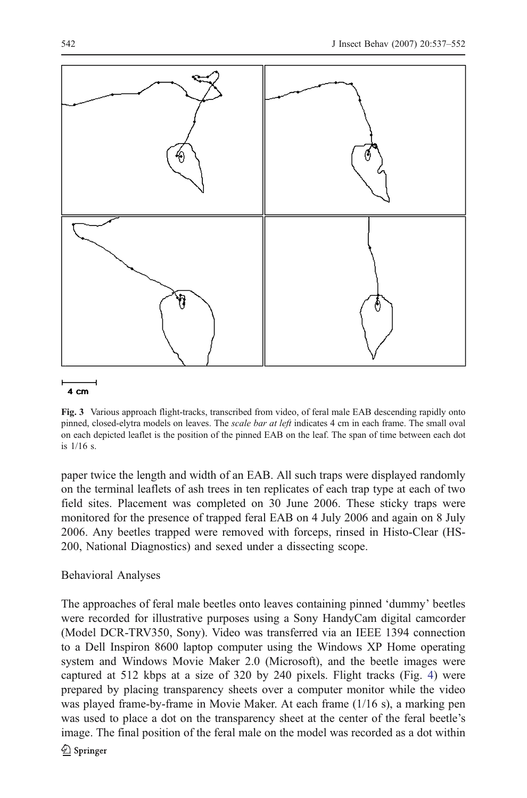<span id="page-5-0"></span>

4 cm

Fig. 3 Various approach flight-tracks, transcribed from video, of feral male EAB descending rapidly onto pinned, closed-elytra models on leaves. The scale bar at left indicates 4 cm in each frame. The small oval on each depicted leaflet is the position of the pinned EAB on the leaf. The span of time between each dot is 1/16 s.

paper twice the length and width of an EAB. All such traps were displayed randomly on the terminal leaflets of ash trees in ten replicates of each trap type at each of two field sites. Placement was completed on 30 June 2006. These sticky traps were monitored for the presence of trapped feral EAB on 4 July 2006 and again on 8 July 2006. Any beetles trapped were removed with forceps, rinsed in Histo-Clear (HS-200, National Diagnostics) and sexed under a dissecting scope.

# Behavioral Analyses

The approaches of feral male beetles onto leaves containing pinned 'dummy' beetles were recorded for illustrative purposes using a Sony HandyCam digital camcorder (Model DCR-TRV350, Sony). Video was transferred via an IEEE 1394 connection to a Dell Inspiron 8600 laptop computer using the Windows XP Home operating system and Windows Movie Maker 2.0 (Microsoft), and the beetle images were captured at 512 kbps at a size of 320 by 240 pixels. Flight tracks (Fig. [4\)](#page-6-0) were prepared by placing transparency sheets over a computer monitor while the video was played frame-by-frame in Movie Maker. At each frame (1/16 s), a marking pen was used to place a dot on the transparency sheet at the center of the feral beetle's image. The final position of the feral male on the model was recorded as a dot within 2 Springer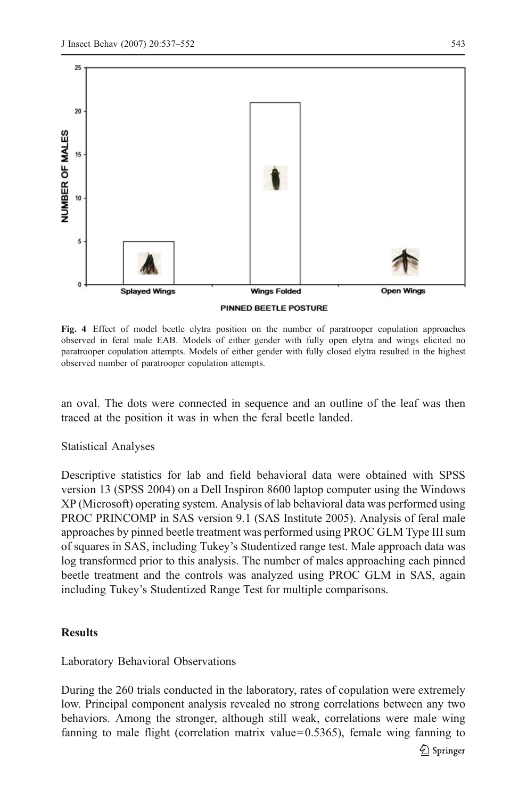<span id="page-6-0"></span>

Fig. 4 Effect of model beetle elytra position on the number of paratrooper copulation approaches observed in feral male EAB. Models of either gender with fully open elytra and wings elicited no paratrooper copulation attempts. Models of either gender with fully closed elytra resulted in the highest observed number of paratrooper copulation attempts.

an oval. The dots were connected in sequence and an outline of the leaf was then traced at the position it was in when the feral beetle landed.

# Statistical Analyses

Descriptive statistics for lab and field behavioral data were obtained with SPSS version 13 (SPSS 2004) on a Dell Inspiron 8600 laptop computer using the Windows XP (Microsoft) operating system. Analysis of lab behavioral data was performed using PROC PRINCOMP in SAS version 9.1 (SAS Institute 2005). Analysis of feral male approaches by pinned beetle treatment was performed using PROC GLM Type III sum of squares in SAS, including Tukey's Studentized range test. Male approach data was log transformed prior to this analysis. The number of males approaching each pinned beetle treatment and the controls was analyzed using PROC GLM in SAS, again including Tukey's Studentized Range Test for multiple comparisons.

# **Results**

Laboratory Behavioral Observations

During the 260 trials conducted in the laboratory, rates of copulation were extremely low. Principal component analysis revealed no strong correlations between any two behaviors. Among the stronger, although still weak, correlations were male wing fanning to male flight (correlation matrix value=0.5365), female wing fanning to  $\mathcal{D}$  Springer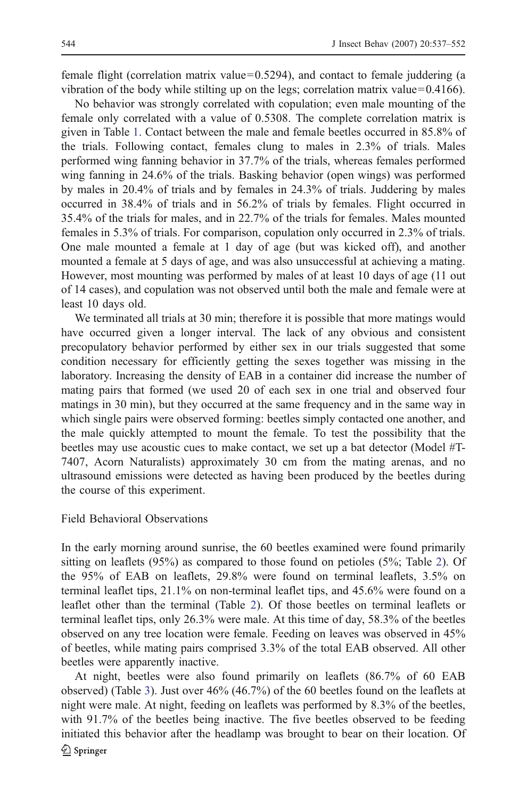female flight (correlation matrix value=0.5294), and contact to female juddering (a vibration of the body while stilting up on the legs; correlation matrix value=0.4166).

No behavior was strongly correlated with copulation; even male mounting of the female only correlated with a value of 0.5308. The complete correlation matrix is given in Table [1.](#page-8-0) Contact between the male and female beetles occurred in 85.8% of the trials. Following contact, females clung to males in 2.3% of trials. Males performed wing fanning behavior in 37.7% of the trials, whereas females performed wing fanning in 24.6% of the trials. Basking behavior (open wings) was performed by males in 20.4% of trials and by females in 24.3% of trials. Juddering by males occurred in 38.4% of trials and in 56.2% of trials by females. Flight occurred in 35.4% of the trials for males, and in 22.7% of the trials for females. Males mounted females in 5.3% of trials. For comparison, copulation only occurred in 2.3% of trials. One male mounted a female at 1 day of age (but was kicked off), and another mounted a female at 5 days of age, and was also unsuccessful at achieving a mating. However, most mounting was performed by males of at least 10 days of age (11 out of 14 cases), and copulation was not observed until both the male and female were at least 10 days old.

We terminated all trials at 30 min; therefore it is possible that more matings would have occurred given a longer interval. The lack of any obvious and consistent precopulatory behavior performed by either sex in our trials suggested that some condition necessary for efficiently getting the sexes together was missing in the laboratory. Increasing the density of EAB in a container did increase the number of mating pairs that formed (we used 20 of each sex in one trial and observed four matings in 30 min), but they occurred at the same frequency and in the same way in which single pairs were observed forming: beetles simply contacted one another, and the male quickly attempted to mount the female. To test the possibility that the beetles may use acoustic cues to make contact, we set up a bat detector (Model #T-7407, Acorn Naturalists) approximately 30 cm from the mating arenas, and no ultrasound emissions were detected as having been produced by the beetles during the course of this experiment.

#### Field Behavioral Observations

In the early morning around sunrise, the 60 beetles examined were found primarily sitting on leaflets (95%) as compared to those found on petioles (5%; Table [2\)](#page-9-0). Of the 95% of EAB on leaflets, 29.8% were found on terminal leaflets, 3.5% on terminal leaflet tips, 21.1% on non-terminal leaflet tips, and 45.6% were found on a leaflet other than the terminal (Table [2](#page-9-0)). Of those beetles on terminal leaflets or terminal leaflet tips, only 26.3% were male. At this time of day, 58.3% of the beetles observed on any tree location were female. Feeding on leaves was observed in 45% of beetles, while mating pairs comprised 3.3% of the total EAB observed. All other beetles were apparently inactive.

At night, beetles were also found primarily on leaflets (86.7% of 60 EAB observed) (Table [3\)](#page-9-0). Just over 46% (46.7%) of the 60 beetles found on the leaflets at night were male. At night, feeding on leaflets was performed by 8.3% of the beetles, with 91.7% of the beetles being inactive. The five beetles observed to be feeding initiated this behavior after the headlamp was brought to bear on their location. Of 2 Springer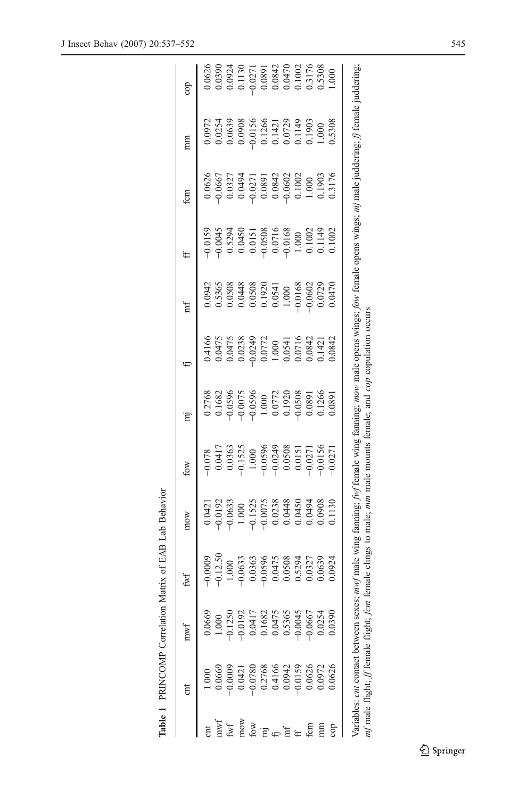<span id="page-8-0"></span>

|     | t                                                                                    | mwf                                                        | fwf                                                                                                                                                                                                                                                                                                | mow         | fow                                                                                                                                                                                                                                                                                                           | Ē                           | $\overline{H}$                                                                                       | 'nf | ₩ | fom                | mm | doc |
|-----|--------------------------------------------------------------------------------------|------------------------------------------------------------|----------------------------------------------------------------------------------------------------------------------------------------------------------------------------------------------------------------------------------------------------------------------------------------------------|-------------|---------------------------------------------------------------------------------------------------------------------------------------------------------------------------------------------------------------------------------------------------------------------------------------------------------------|-----------------------------|------------------------------------------------------------------------------------------------------|-----|---|--------------------|----|-----|
|     |                                                                                      |                                                            |                                                                                                                                                                                                                                                                                                    |             |                                                                                                                                                                                                                                                                                                               |                             |                                                                                                      |     |   |                    |    |     |
| mw  |                                                                                      |                                                            |                                                                                                                                                                                                                                                                                                    |             |                                                                                                                                                                                                                                                                                                               |                             |                                                                                                      |     |   |                    |    |     |
| fwf | 0.0005                                                                               |                                                            |                                                                                                                                                                                                                                                                                                    |             |                                                                                                                                                                                                                                                                                                               |                             |                                                                                                      |     |   |                    |    |     |
| mow | 0.042                                                                                |                                                            |                                                                                                                                                                                                                                                                                                    |             |                                                                                                                                                                                                                                                                                                               |                             |                                                                                                      |     |   |                    |    |     |
| fow | 0.0780                                                                               | -0.1250<br>-0.0192<br>0.0417<br>0.1682<br>0.5365<br>0.5365 | $\begin{array}{r} 0.00000 \\ 0.000000 \\ -0.0000000 \\ -0.0000000 \\ -0.0000000 \\ -0.0000000 \\ -0.0000000 \\ -0.0000000 \\ -0.0000000 \\ -0.000000 \\ -0.000000 \\ -0.000000 \\ -0.000000 \\ -0.000000 \\ -0.000000 \\ -0.000000 \\ -0.000000 \\ -0.000000 \\ -0.000000 \\ -0.000000 \\ -0.0000$ |             | $\begin{array}{l} 88 \\ 07417 \\ 61333 \\ 76334 \\ 8635 \\ 9635 \\ 9635 \\ 9635 \\ 9635 \\ 9635 \\ 9635 \\ 9635 \\ 9635 \\ 9635 \\ 9635 \\ 9635 \\ 9635 \\ 9635 \\ 9635 \\ 9635 \\ 9635 \\ 9635 \\ 9635 \\ 9635 \\ 9635 \\ 9635 \\ 9635 \\ 9635 \\ 9635 \\ 9635 \\ 9635 \\ 9635 \\ 9635 \\ 9635 \\ 9635 \\ 9$ |                             | 8641752884857526925264251252652652642512526526425125265265262526252752625275262527526252752625275262 |     |   |                    |    |     |
|     |                                                                                      |                                                            |                                                                                                                                                                                                                                                                                                    |             |                                                                                                                                                                                                                                                                                                               |                             |                                                                                                      |     |   |                    |    |     |
|     | 0.2768<br>0.4166<br>0.0942<br>0.0159                                                 |                                                            |                                                                                                                                                                                                                                                                                                    |             |                                                                                                                                                                                                                                                                                                               |                             |                                                                                                      |     |   |                    |    |     |
|     |                                                                                      |                                                            |                                                                                                                                                                                                                                                                                                    |             |                                                                                                                                                                                                                                                                                                               |                             |                                                                                                      |     |   |                    |    |     |
|     |                                                                                      |                                                            |                                                                                                                                                                                                                                                                                                    |             |                                                                                                                                                                                                                                                                                                               |                             |                                                                                                      |     |   |                    |    |     |
| έm  | 0.0626                                                                               | 0.0667                                                     |                                                                                                                                                                                                                                                                                                    |             |                                                                                                                                                                                                                                                                                                               |                             |                                                                                                      |     |   |                    |    |     |
|     | 0.972                                                                                | 0.0254                                                     |                                                                                                                                                                                                                                                                                                    |             |                                                                                                                                                                                                                                                                                                               |                             |                                                                                                      |     |   |                    |    |     |
| go  | 0.0626                                                                               | 0.0390                                                     |                                                                                                                                                                                                                                                                                                    |             |                                                                                                                                                                                                                                                                                                               |                             |                                                                                                      |     |   |                    |    |     |
|     | Variables: <i>cnt</i> contact between sexes<br>m/ male flight; // female flight; fcm |                                                            | mw male wing 1<br>emale clings                                                                                                                                                                                                                                                                     | to male: mm | emale wing I                                                                                                                                                                                                                                                                                                  | male mounts temale; and cop | nale opens<br>copulatio                                                                              |     |   | <i>mi</i> male jud |    |     |

| í<br>ı<br>ï                          |  |
|--------------------------------------|--|
| I                                    |  |
| ı                                    |  |
| ï<br>í<br>í<br>ı                     |  |
| ı<br>ı<br>ï<br>ı<br>í<br>í<br>þ<br>I |  |
| くしょ<br>í<br>I                        |  |
| ı<br>ı<br>ś                          |  |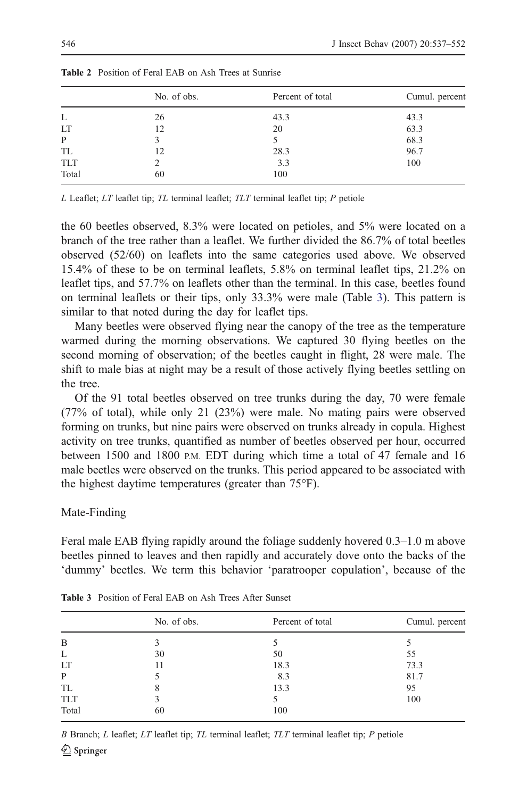|       | No. of obs. | Percent of total | Cumul. percent |
|-------|-------------|------------------|----------------|
| L     | 26          | 43.3             | 43.3           |
| LT    | 12          | 20               | 63.3           |
| P     |             |                  | 68.3           |
| TL    | 12          | 28.3             | 96.7           |
| TLT   |             | 3.3              | 100            |
| Total | 60          | 100              |                |
|       |             |                  |                |

<span id="page-9-0"></span>Table 2 Position of Feral EAB on Ash Trees at Sunrise

 $L$  Leaflet;  $LT$  leaflet tip;  $TL$  terminal leaflet;  $TLT$  terminal leaflet tip;  $P$  petiole

the 60 beetles observed, 8.3% were located on petioles, and 5% were located on a branch of the tree rather than a leaflet. We further divided the 86.7% of total beetles observed (52/60) on leaflets into the same categories used above. We observed 15.4% of these to be on terminal leaflets, 5.8% on terminal leaflet tips, 21.2% on leaflet tips, and 57.7% on leaflets other than the terminal. In this case, beetles found on terminal leaflets or their tips, only 33.3% were male (Table 3). This pattern is similar to that noted during the day for leaflet tips.

Many beetles were observed flying near the canopy of the tree as the temperature warmed during the morning observations. We captured 30 flying beetles on the second morning of observation; of the beetles caught in flight, 28 were male. The shift to male bias at night may be a result of those actively flying beetles settling on the tree.

Of the 91 total beetles observed on tree trunks during the day, 70 were female (77% of total), while only 21 (23%) were male. No mating pairs were observed forming on trunks, but nine pairs were observed on trunks already in copula. Highest activity on tree trunks, quantified as number of beetles observed per hour, occurred between 1500 and 1800 P.M. EDT during which time a total of 47 female and 16 male beetles were observed on the trunks. This period appeared to be associated with the highest daytime temperatures (greater than 75°F).

#### Mate-Finding

Feral male EAB flying rapidly around the foliage suddenly hovered 0.3–1.0 m above beetles pinned to leaves and then rapidly and accurately dove onto the backs of the 'dummy' beetles. We term this behavior 'paratrooper copulation', because of the

|            | No. of obs. | Percent of total | Cumul. percent |
|------------|-------------|------------------|----------------|
| B          |             |                  |                |
| L          | 30          | 50               | 55             |
| LT         | 11          | 18.3             | 73.3           |
| P          |             | 8.3              | 81.7           |
| TL         |             | 13.3             | 95             |
| <b>TLT</b> |             |                  | 100            |
| Total      | 60          | 100              |                |

Table 3 Position of Feral EAB on Ash Trees After Sunset

B Branch; L leaflet; LT leaflet tip; TL terminal leaflet; TLT terminal leaflet tip; P petiole  $\textcircled{2}$  Springer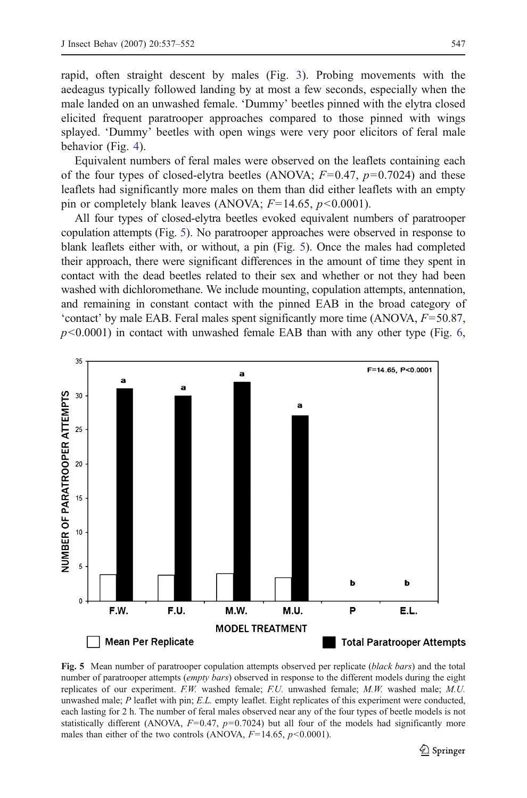rapid, often straight descent by males (Fig. [3\)](#page-5-0). Probing movements with the aedeagus typically followed landing by at most a few seconds, especially when the male landed on an unwashed female. 'Dummy' beetles pinned with the elytra closed elicited frequent paratrooper approaches compared to those pinned with wings splayed. 'Dummy' beetles with open wings were very poor elicitors of feral male behavior (Fig. [4](#page-6-0)).

Equivalent numbers of feral males were observed on the leaflets containing each of the four types of closed-elytra beetles (ANOVA;  $F=0.47$ ,  $p=0.7024$ ) and these leaflets had significantly more males on them than did either leaflets with an empty pin or completely blank leaves (ANOVA;  $F=14.65$ ,  $p<0.0001$ ).

All four types of closed-elytra beetles evoked equivalent numbers of paratrooper copulation attempts (Fig. 5). No paratrooper approaches were observed in response to blank leaflets either with, or without, a pin (Fig. 5). Once the males had completed their approach, there were significant differences in the amount of time they spent in contact with the dead beetles related to their sex and whether or not they had been washed with dichloromethane. We include mounting, copulation attempts, antennation, and remaining in constant contact with the pinned EAB in the broad category of 'contact' by male EAB. Feral males spent significantly more time  $(ANOVA, F=50.87,$  $p<0.0001$ ) in contact with unwashed female EAB than with any other type (Fig. [6,](#page-11-0)



Fig. 5 Mean number of paratrooper copulation attempts observed per replicate (black bars) and the total number of paratrooper attempts (*empty bars*) observed in response to the different models during the eight replicates of our experiment. F.W. washed female; F.U. unwashed female;  $M.W.$  washed male;  $M.U.$ unwashed male; P leaflet with pin; E.L. empty leaflet. Eight replicates of this experiment were conducted, each lasting for 2 h. The number of feral males observed near any of the four types of beetle models is not statistically different (ANOVA,  $F=0.47$ ,  $p=0.7024$ ) but all four of the models had significantly more males than either of the two controls (ANOVA,  $F=14.65$ ,  $p<0.0001$ ).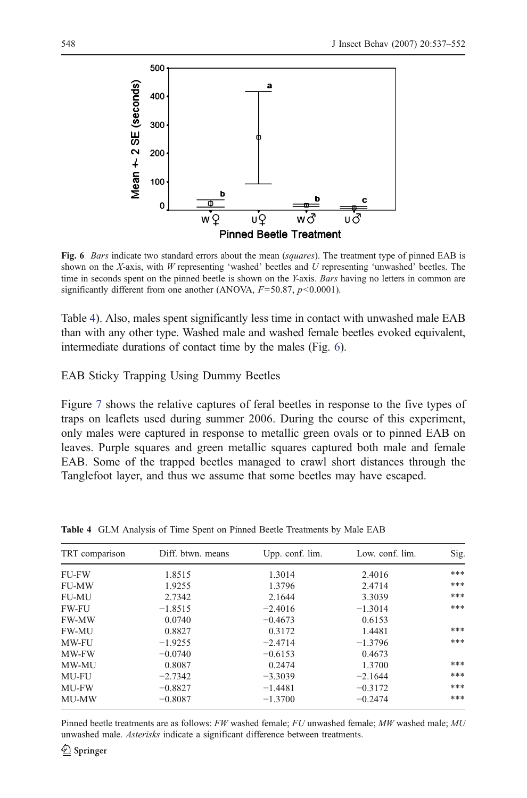<span id="page-11-0"></span>

Fig. 6 Bars indicate two standard errors about the mean (squares). The treatment type of pinned EAB is shown on the X-axis, with  $W$  representing 'washed' beetles and  $U$  representing 'unwashed' beetles. The time in seconds spent on the pinned beetle is shown on the Y-axis. Bars having no letters in common are significantly different from one another (ANOVA,  $F=50.87$ ,  $p<0.0001$ ).

Table 4). Also, males spent significantly less time in contact with unwashed male EAB than with any other type. Washed male and washed female beetles evoked equivalent, intermediate durations of contact time by the males (Fig. 6).

EAB Sticky Trapping Using Dummy Beetles

Figure [7](#page-12-0) shows the relative captures of feral beetles in response to the five types of traps on leaflets used during summer 2006. During the course of this experiment, only males were captured in response to metallic green ovals or to pinned EAB on leaves. Purple squares and green metallic squares captured both male and female EAB. Some of the trapped beetles managed to crawl short distances through the Tanglefoot layer, and thus we assume that some beetles may have escaped.

| TRT comparison | Diff. btwn. means | Upp. conf. lim. | Low. conf. lim. | Sig. |
|----------------|-------------------|-----------------|-----------------|------|
| <b>FU-FW</b>   | 1.8515            | 1.3014          | 2.4016          | ***  |
| <b>FU-MW</b>   | 1.9255            | 1.3796          | 2.4714          | ***  |
| <b>FU-MU</b>   | 2.7342            | 2.1644          | 3.3039          | ***  |
| <b>FW-FU</b>   | $-1.8515$         | $-2.4016$       | $-1.3014$       | ***  |
| <b>FW-MW</b>   | 0.0740            | $-0.4673$       | 0.6153          |      |
| <b>FW-MU</b>   | 0.8827            | 0.3172          | 1.4481          | ***  |
| MW-FU          | $-1.9255$         | $-2.4714$       | $-1.3796$       | ***  |
| MW-FW          | $-0.0740$         | $-0.6153$       | 0.4673          |      |
| <b>MW-MU</b>   | 0.8087            | 0.2474          | 1.3700          | ***  |
| MU-FU          | $-2.7342$         | $-3.3039$       | $-2.1644$       | ***  |
| MU-FW          | $-0.8827$         | $-1.4481$       | $-0.3172$       | ***  |
| MU-MW          | $-0.8087$         | $-1.3700$       | $-0.2474$       | ***  |

Table 4 GLM Analysis of Time Spent on Pinned Beetle Treatments by Male EAB

Pinned beetle treatments are as follows: FW washed female; FU unwashed female; MW washed male; MU unwashed male. Asterisks indicate a significant difference between treatments.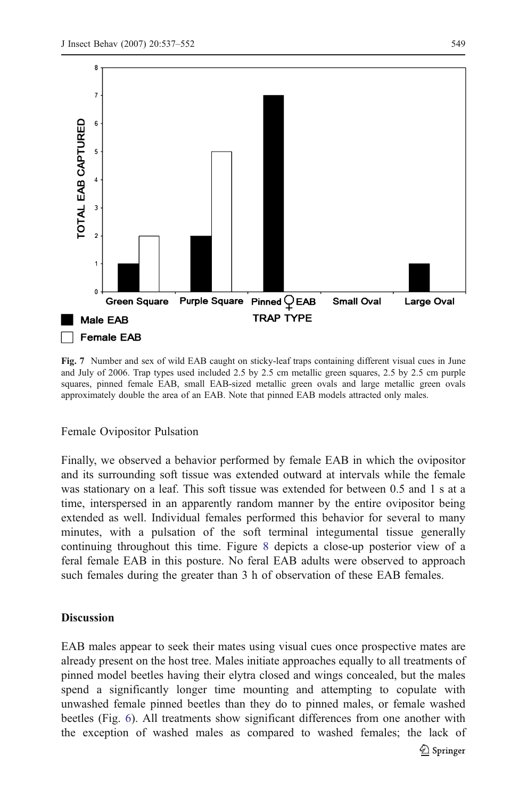<span id="page-12-0"></span>

Fig. 7 Number and sex of wild EAB caught on sticky-leaf traps containing different visual cues in June and July of 2006. Trap types used included 2.5 by 2.5 cm metallic green squares, 2.5 by 2.5 cm purple squares, pinned female EAB, small EAB-sized metallic green ovals and large metallic green ovals approximately double the area of an EAB. Note that pinned EAB models attracted only males.

## Female Ovipositor Pulsation

Finally, we observed a behavior performed by female EAB in which the ovipositor and its surrounding soft tissue was extended outward at intervals while the female was stationary on a leaf. This soft tissue was extended for between 0.5 and 1 s at a time, interspersed in an apparently random manner by the entire ovipositor being extended as well. Individual females performed this behavior for several to many minutes, with a pulsation of the soft terminal integumental tissue generally continuing throughout this time. Figure [8](#page-13-0) depicts a close-up posterior view of a feral female EAB in this posture. No feral EAB adults were observed to approach such females during the greater than 3 h of observation of these EAB females.

# **Discussion**

EAB males appear to seek their mates using visual cues once prospective mates are already present on the host tree. Males initiate approaches equally to all treatments of pinned model beetles having their elytra closed and wings concealed, but the males spend a significantly longer time mounting and attempting to copulate with unwashed female pinned beetles than they do to pinned males, or female washed beetles (Fig. [6\)](#page-11-0). All treatments show significant differences from one another with the exception of washed males as compared to washed females; the lack of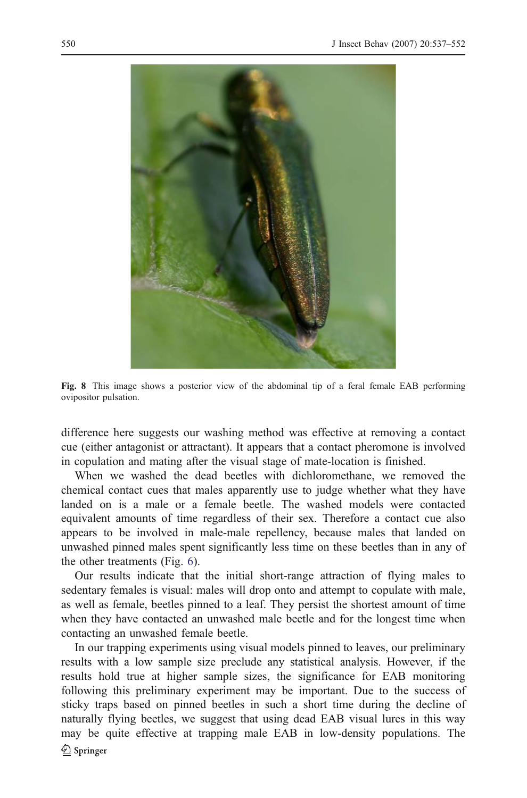<span id="page-13-0"></span>

Fig. 8 This image shows a posterior view of the abdominal tip of a feral female EAB performing ovipositor pulsation.

difference here suggests our washing method was effective at removing a contact cue (either antagonist or attractant). It appears that a contact pheromone is involved in copulation and mating after the visual stage of mate-location is finished.

When we washed the dead beetles with dichloromethane, we removed the chemical contact cues that males apparently use to judge whether what they have landed on is a male or a female beetle. The washed models were contacted equivalent amounts of time regardless of their sex. Therefore a contact cue also appears to be involved in male-male repellency, because males that landed on unwashed pinned males spent significantly less time on these beetles than in any of the other treatments (Fig. [6](#page-11-0)).

Our results indicate that the initial short-range attraction of flying males to sedentary females is visual: males will drop onto and attempt to copulate with male, as well as female, beetles pinned to a leaf. They persist the shortest amount of time when they have contacted an unwashed male beetle and for the longest time when contacting an unwashed female beetle.

In our trapping experiments using visual models pinned to leaves, our preliminary results with a low sample size preclude any statistical analysis. However, if the results hold true at higher sample sizes, the significance for EAB monitoring following this preliminary experiment may be important. Due to the success of sticky traps based on pinned beetles in such a short time during the decline of naturally flying beetles, we suggest that using dead EAB visual lures in this way may be quite effective at trapping male EAB in low-density populations. The 2 Springer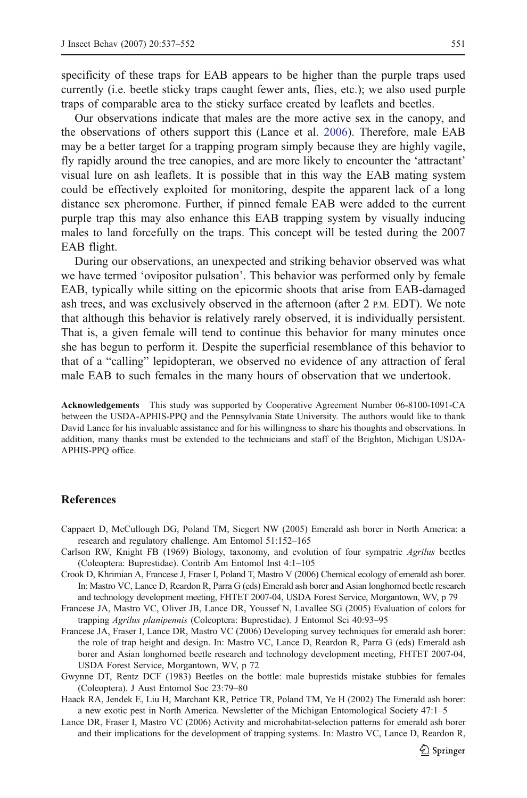<span id="page-14-0"></span>specificity of these traps for EAB appears to be higher than the purple traps used currently (i.e. beetle sticky traps caught fewer ants, flies, etc.); we also used purple traps of comparable area to the sticky surface created by leaflets and beetles.

Our observations indicate that males are the more active sex in the canopy, and the observations of others support this (Lance et al. 2006). Therefore, male EAB may be a better target for a trapping program simply because they are highly vagile, fly rapidly around the tree canopies, and are more likely to encounter the 'attractant' visual lure on ash leaflets. It is possible that in this way the EAB mating system could be effectively exploited for monitoring, despite the apparent lack of a long distance sex pheromone. Further, if pinned female EAB were added to the current purple trap this may also enhance this EAB trapping system by visually inducing males to land forcefully on the traps. This concept will be tested during the 2007 EAB flight.

During our observations, an unexpected and striking behavior observed was what we have termed 'ovipositor pulsation'. This behavior was performed only by female EAB, typically while sitting on the epicormic shoots that arise from EAB-damaged ash trees, and was exclusively observed in the afternoon (after 2 P.M. EDT). We note that although this behavior is relatively rarely observed, it is individually persistent. That is, a given female will tend to continue this behavior for many minutes once she has begun to perform it. Despite the superficial resemblance of this behavior to that of a "calling" lepidopteran, we observed no evidence of any attraction of feral male EAB to such females in the many hours of observation that we undertook.

Acknowledgements This study was supported by Cooperative Agreement Number 06-8100-1091-CA between the USDA-APHIS-PPQ and the Pennsylvania State University. The authors would like to thank David Lance for his invaluable assistance and for his willingness to share his thoughts and observations. In addition, many thanks must be extended to the technicians and staff of the Brighton, Michigan USDA-APHIS-PPQ office.

#### **References**

- Cappaert D, McCullough DG, Poland TM, Siegert NW (2005) Emerald ash borer in North America: a research and regulatory challenge. Am Entomol 51:152–165
- Carlson RW, Knight FB (1969) Biology, taxonomy, and evolution of four sympatric Agrilus beetles (Coleoptera: Buprestidae). Contrib Am Entomol Inst 4:1–105
- Crook D, Khrimian A, Francese J, Fraser I, Poland T, Mastro V (2006) Chemical ecology of emerald ash borer. In: Mastro VC, Lance D, Reardon R, Parra G (eds) Emerald ash borer and Asian longhorned beetle research and technology development meeting, FHTET 2007-04, USDA Forest Service, Morgantown, WV, p 79
- Francese JA, Mastro VC, Oliver JB, Lance DR, Youssef N, Lavallee SG (2005) Evaluation of colors for trapping Agrilus planipennis (Coleoptera: Buprestidae). J Entomol Sci 40:93–95
- Francese JA, Fraser I, Lance DR, Mastro VC (2006) Developing survey techniques for emerald ash borer: the role of trap height and design. In: Mastro VC, Lance D, Reardon R, Parra G (eds) Emerald ash borer and Asian longhorned beetle research and technology development meeting, FHTET 2007-04, USDA Forest Service, Morgantown, WV, p 72
- Gwynne DT, Rentz DCF (1983) Beetles on the bottle: male buprestids mistake stubbies for females (Coleoptera). J Aust Entomol Soc 23:79–80
- Haack RA, Jendek E, Liu H, Marchant KR, Petrice TR, Poland TM, Ye H (2002) The Emerald ash borer: a new exotic pest in North America. Newsletter of the Michigan Entomological Society 47:1–5
- Lance DR, Fraser I, Mastro VC (2006) Activity and microhabitat-selection patterns for emerald ash borer and their implications for the development of trapping systems. In: Mastro VC, Lance D, Reardon R,